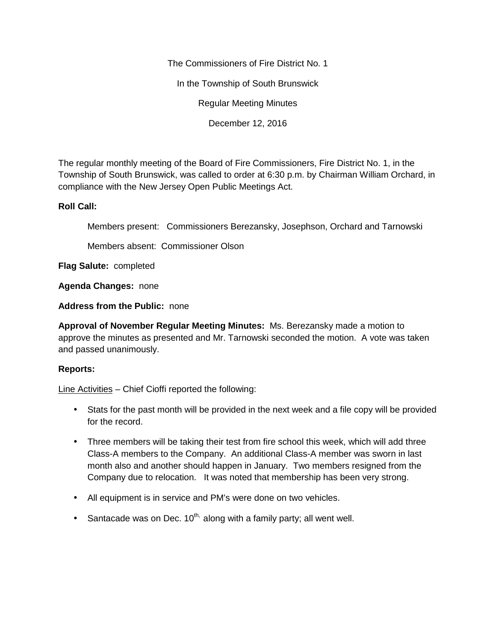The Commissioners of Fire District No. 1

In the Township of South Brunswick

Regular Meeting Minutes

December 12, 2016

The regular monthly meeting of the Board of Fire Commissioners, Fire District No. 1, in the Township of South Brunswick, was called to order at 6:30 p.m. by Chairman William Orchard, in compliance with the New Jersey Open Public Meetings Act.

### **Roll Call:**

Members present: Commissioners Berezansky, Josephson, Orchard and Tarnowski

Members absent: Commissioner Olson

**Flag Salute:** completed

**Agenda Changes:** none

**Address from the Public:** none

**Approval of November Regular Meeting Minutes:** Ms. Berezansky made a motion to approve the minutes as presented and Mr. Tarnowski seconded the motion. A vote was taken and passed unanimously.

## **Reports:**

Line Activities – Chief Cioffi reported the following:

- Stats for the past month will be provided in the next week and a file copy will be provided for the record.
- Three members will be taking their test from fire school this week, which will add three Class-A members to the Company. An additional Class-A member was sworn in last month also and another should happen in January. Two members resigned from the Company due to relocation. It was noted that membership has been very strong.
- All equipment is in service and PM's were done on two vehicles.
- Santacade was on Dec.  $10^{th}$ , along with a family party; all went well.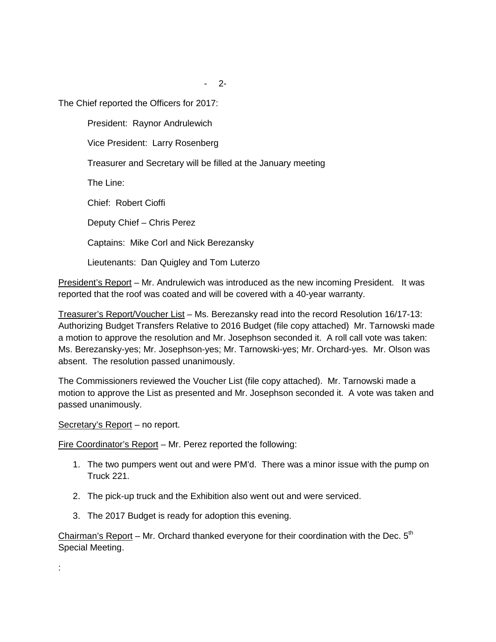The Chief reported the Officers for 2017:

President: Raynor Andrulewich

Vice President: Larry Rosenberg

Treasurer and Secretary will be filled at the January meeting

The Line:

Chief: Robert Cioffi

Deputy Chief – Chris Perez

Captains: Mike Corl and Nick Berezansky

Lieutenants: Dan Quigley and Tom Luterzo

President's Report – Mr. Andrulewich was introduced as the new incoming President. It was reported that the roof was coated and will be covered with a 40-year warranty.

Treasurer's Report/Voucher List – Ms. Berezansky read into the record Resolution 16/17-13: Authorizing Budget Transfers Relative to 2016 Budget (file copy attached) Mr. Tarnowski made a motion to approve the resolution and Mr. Josephson seconded it. A roll call vote was taken: Ms. Berezansky-yes; Mr. Josephson-yes; Mr. Tarnowski-yes; Mr. Orchard-yes. Mr. Olson was absent. The resolution passed unanimously.

The Commissioners reviewed the Voucher List (file copy attached). Mr. Tarnowski made a motion to approve the List as presented and Mr. Josephson seconded it. A vote was taken and passed unanimously.

Secretary's Report - no report.

Fire Coordinator's Report – Mr. Perez reported the following:

- 1. The two pumpers went out and were PM'd. There was a minor issue with the pump on Truck 221.
- 2. The pick-up truck and the Exhibition also went out and were serviced.
- 3. The 2017 Budget is ready for adoption this evening.

Chairman's Report – Mr. Orchard thanked everyone for their coordination with the Dec.  $5<sup>th</sup>$ Special Meeting.

: